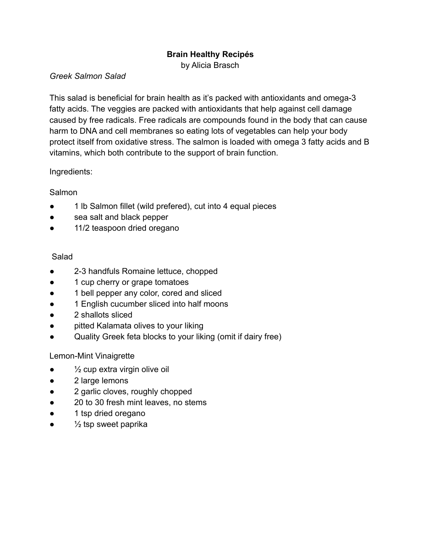# **Brain Healthy Recipés**

by Alicia Brasch

#### *Greek Salmon Salad*

This salad is beneficial for brain health as it's packed with antioxidants and omega-3 fatty acids. The veggies are packed with antioxidants that help against cell damage caused by free radicals. Free radicals are compounds found in the body that can cause harm to DNA and cell membranes so eating lots of vegetables can help your body protect itself from oxidative stress. The salmon is loaded with omega 3 fatty acids and B vitamins, which both contribute to the support of brain function.

### Ingredients:

# Salmon

- 1 lb Salmon fillet (wild prefered), cut into 4 equal pieces
- sea salt and black pepper
- 11/2 teaspoon dried oregano

### Salad

- 2-3 handfuls Romaine lettuce, chopped
- 1 cup cherry or grape tomatoes
- 1 bell pepper any color, cored and sliced
- 1 English cucumber sliced into half moons
- 2 shallots sliced
- pitted Kalamata olives to your liking
- Quality Greek feta blocks to your liking (omit if dairy free)

# Lemon-Mint Vinaigrette

- $\frac{1}{2}$  cup extra virgin olive oil
- 2 large lemons
- 2 garlic cloves, roughly chopped
- 20 to 30 fresh mint leaves, no stems
- 1 tsp dried oregano
- $\bullet$   $\frac{1}{2}$  tsp sweet paprika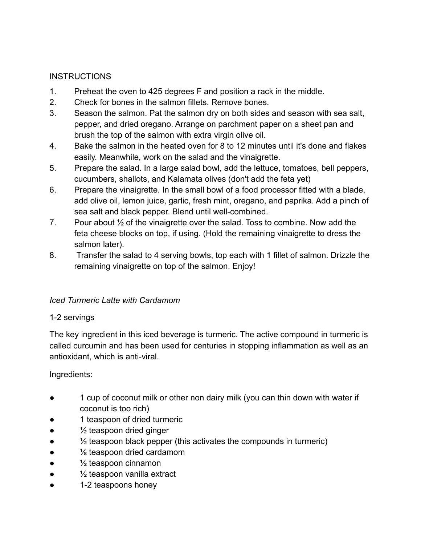# INSTRUCTIONS

- 1. Preheat the oven to 425 degrees F and position a rack in the middle.
- 2. Check for bones in the salmon fillets. Remove bones.
- 3. Season the salmon. Pat the salmon dry on both sides and season with sea salt, pepper, and dried oregano. Arrange on parchment paper on a sheet pan and brush the top of the salmon with extra virgin olive oil.
- 4. Bake the salmon in the heated oven for 8 to 12 minutes until it's done and flakes easily. Meanwhile, work on the salad and the vinaigrette.
- 5. Prepare the salad. In a large salad bowl, add the lettuce, tomatoes, bell peppers, cucumbers, shallots, and Kalamata olives (don't add the feta yet)
- 6. Prepare the vinaigrette. In the small bowl of a food processor fitted with a blade, add olive oil, lemon juice, garlic, fresh mint, oregano, and paprika. Add a pinch of sea salt and black pepper. Blend until well-combined.
- 7. Pour about  $\frac{1}{2}$  of the vinaigrette over the salad. Toss to combine. Now add the feta cheese blocks on top, if using. (Hold the remaining vinaigrette to dress the salmon later).
- 8. Transfer the salad to 4 serving bowls, top each with 1 fillet of salmon. Drizzle the remaining vinaigrette on top of the salmon. Enjoy!

# *Iced Turmeric Latte with Cardamom*

# 1-2 servings

The key ingredient in this iced beverage is turmeric. The active compound in turmeric is called curcumin and has been used for centuries in stopping inflammation as well as an antioxidant, which is anti-viral.

# Ingredients:

- 1 cup of coconut milk or other non dairy milk (you can thin down with water if coconut is too rich)
- 1 teaspoon of dried turmeric
- $\bullet$   $\frac{1}{2}$  teaspoon dried ginger
- $\bullet$   $\frac{1}{2}$  teaspoon black pepper (this activates the compounds in turmeric)
- $\frac{1}{8}$  teaspoon dried cardamom
- $\bullet$   $\frac{1}{2}$  teaspoon cinnamon
- $\bullet$   $\frac{1}{2}$  teaspoon vanilla extract
- 1-2 teaspoons honey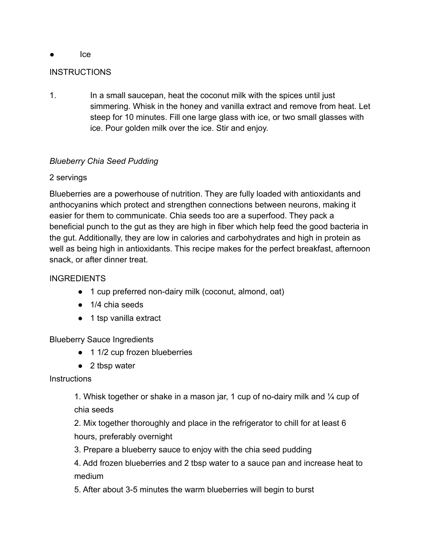## ● Ice

## **INSTRUCTIONS**

1. In a small saucepan, heat the coconut milk with the spices until just simmering. Whisk in the honey and vanilla extract and remove from heat. Let steep for 10 minutes. Fill one large glass with ice, or two small glasses with ice. Pour golden milk over the ice. Stir and enjoy.

### *Blueberry Chia Seed Pudding*

#### 2 servings

Blueberries are a powerhouse of nutrition. They are fully loaded with antioxidants and anthocyanins which protect and strengthen connections between neurons, making it easier for them to communicate. Chia seeds too are a superfood. They pack a beneficial punch to the gut as they are high in fiber which help feed the good bacteria in the gut. Additionally, they are low in calories and carbohydrates and high in protein as well as being high in antioxidants. This recipe makes for the perfect breakfast, afternoon snack, or after dinner treat.

#### INGREDIENTS

- 1 cup preferred non-dairy milk (coconut, almond, oat)
- $\bullet$  1/4 chia seeds
- 1 tsp vanilla extract

Blueberry Sauce Ingredients

- 1 1/2 cup frozen blueberries
- 2 tbsp water

#### **Instructions**

1. Whisk together or shake in a mason jar, 1 cup of no-dairy milk and ¼ cup of chia seeds

2. Mix together thoroughly and place in the refrigerator to chill for at least 6 hours, preferably overnight

3. Prepare a blueberry sauce to enjoy with the chia seed pudding

4. Add frozen blueberries and 2 tbsp water to a sauce pan and increase heat to medium

5. After about 3-5 minutes the warm blueberries will begin to burst